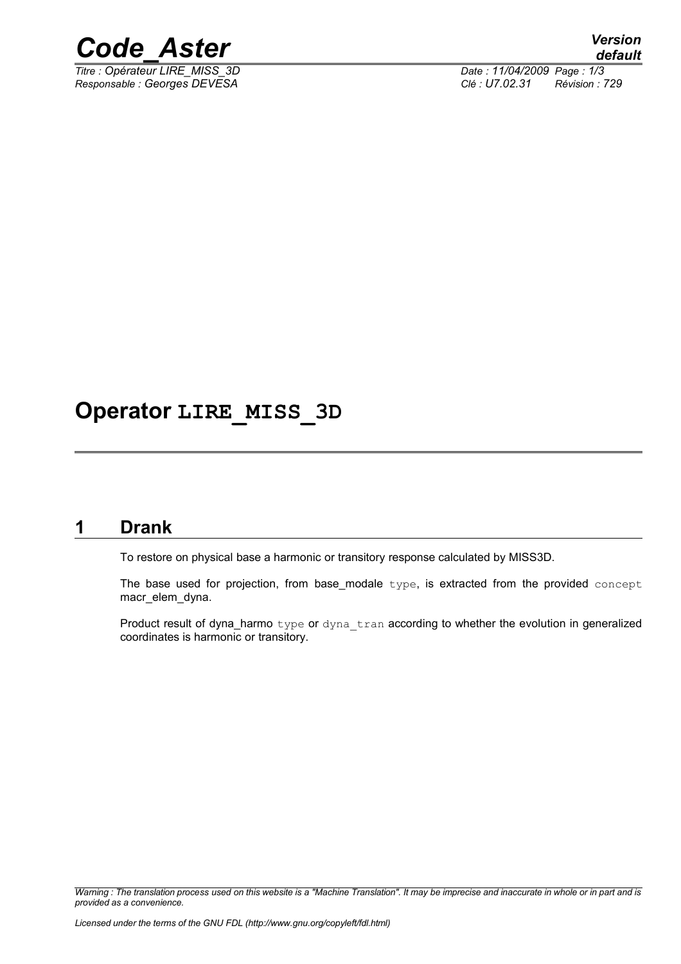

*Titre : Opérateur LIRE\_MISS\_3D Date : 11/04/2009 Page : 1/3*

*Responsable : Georges DEVESA Clé : U7.02.31 Révision : 729*

# **Operator LIRE\_MISS\_3D**

## **1 Drank**

To restore on physical base a harmonic or transitory response calculated by MISS3D.

The base used for projection, from base modale  $type$ , is extracted from the provided concept macr\_elem\_dyna.

Product result of dyna\_harmo type or dyna tran according to whether the evolution in generalized coordinates is harmonic or transitory.

*Warning : The translation process used on this website is a "Machine Translation". It may be imprecise and inaccurate in whole or in part and is provided as a convenience.*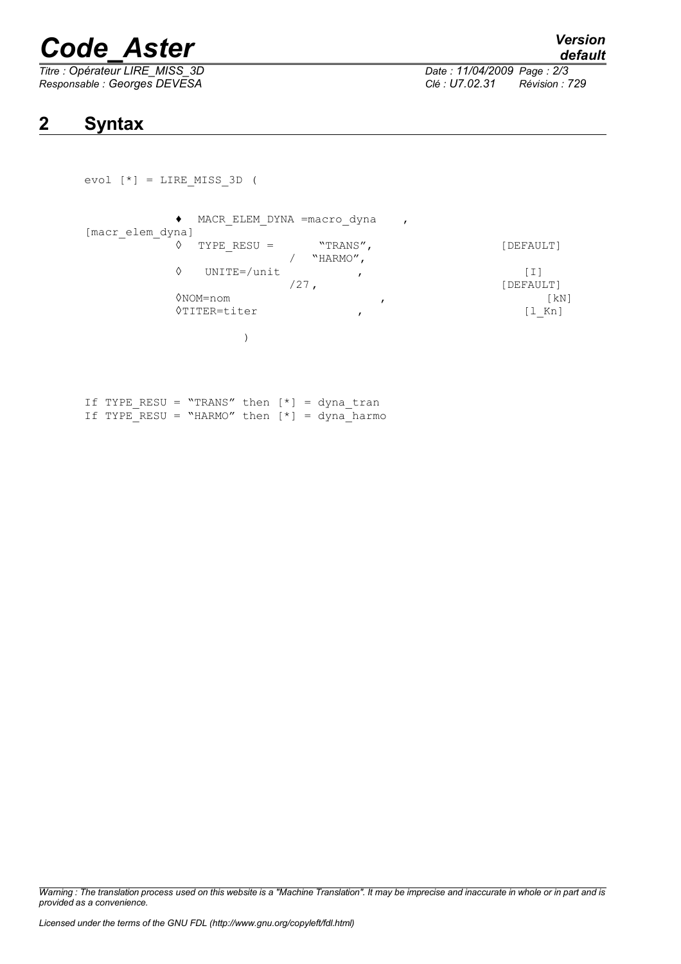# *Code\_Aster Version*

*Titre : Opérateur LIRE\_MISS\_3D Date : 11/04/2009 Page : 2/3 Responsable : Georges DEVESA Clé : U7.02.31 Révision : 729*

*default*

# **2 Syntax**

```
evol [*] = LIRE MISS 3D (
```

```
♦ MACR_ELEM_DYNA =macro_dyna ,
[macr_elem_dyna]
                           \begin{array}{ccc}\n\text{TYPE} & \text{RESU} & = & \text{``TRANS''}\n\end{array},\n\begin{array}{ccc}\n\text{^{[1]}} & \text{^{[2]}} \\
\text{^{[2]}} & \text{^{[3]}} \\
\text{^{[4]}} & \text{^{[5]}} \\
\text{^{[6]}} & \text{^{[6]}} \\
\text{^{[7]}} & \text{^{[8]}} \\
\text{^{[8]}} & \text{^{[8]}} \\
\text{^{[9]}} & \text{^{[9]}} \\
\text{^{[1]}} & \text{^{[1]}} \\
\text{^{[1]}}/ "HARMO",
                     ◊ UNITE=/unit , [I]
                                                                                                    [DEFAULT]
                     ◊NOM=nom , [kN]
                     ◊TITER=titer , [l_Kn]
                                      )
 F mype pecu = "mpanc" then [x]
```

|  |  | II TYPE RESU = ``TRANS'' then [*] = dyna tran  |  |  |  |
|--|--|------------------------------------------------|--|--|--|
|  |  | If TYPE RESU = "HARMO" then $[*]$ = dyna harmo |  |  |  |

*Warning : The translation process used on this website is a "Machine Translation". It may be imprecise and inaccurate in whole or in part and is provided as a convenience.*